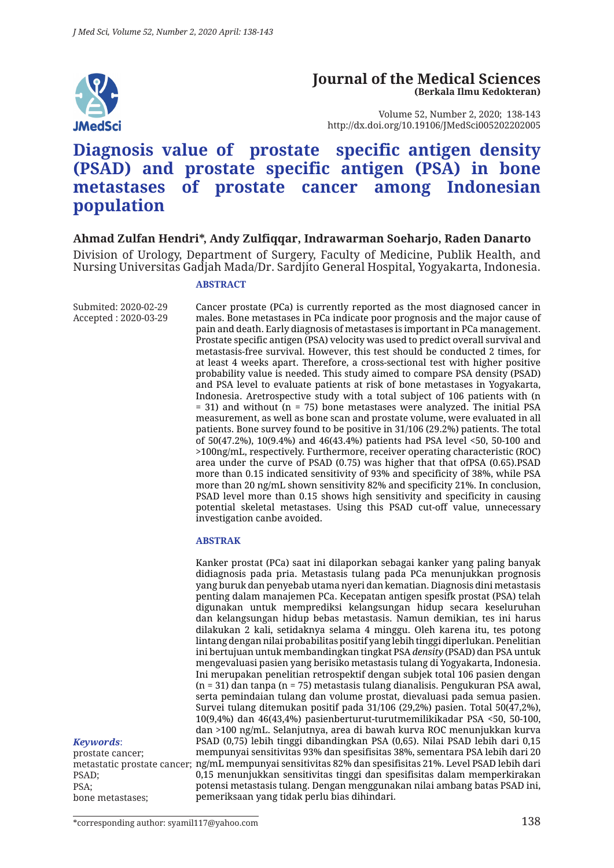

#### **Journal of the Medical Sciences (Berkala Ilmu Kedokteran)**

Volume 52, Number 2, 2020; 138-143 http://dx.doi.org/10.19106/JMedSci005202202005

# **Diagnosis value of prostate specific antigen density (PSAD) and prostate specific antigen (PSA) in bone metastases of prostate cancer among Indonesian population**

#### **Ahmad Zulfan Hendri\*, Andy Zulfiqqar, Indrawarman Soeharjo, Raden Danarto**

Division of Urology, Department of Surgery, Faculty of Medicine, Publik Health, and Nursing Universitas Gadjah Mada/Dr. Sardjito General Hospital, Yogyakarta, Indonesia.

#### **ABSTRACT**

Submited: 2020-02-29 Accepted : 2020-03-29

Cancer prostate (PCa) is currently reported as the most diagnosed cancer in males. Bone metastases in PCa indicate poor prognosis and the major cause of pain and death. Early diagnosis of metastases is important in PCa management. Prostate specific antigen (PSA) velocity was used to predict overall survival and metastasis-free survival. However, this test should be conducted 2 times, for at least 4 weeks apart. Therefore, a cross-sectional test with higher positive probability value is needed. This study aimed to compare PSA density (PSAD) and PSA level to evaluate patients at risk of bone metastases in Yogyakarta, Indonesia. Aretrospective study with a total subject of 106 patients with (n  $=$  31) and without (n  $=$  75) bone metastases were analyzed. The initial PSA measurement, as well as bone scan and prostate volume, were evaluated in all patients. Bone survey found to be positive in 31/106 (29.2%) patients. The total of 50(47.2%), 10(9.4%) and 46(43.4%) patients had PSA level <50, 50-100 and >100ng/mL, respectively. Furthermore, receiver operating characteristic (ROC) area under the curve of PSAD (0.75) was higher that that ofPSA (0.65).PSAD more than 0.15 indicated sensitivity of 93% and specificity of 38%, while PSA more than 20 ng/mL shown sensitivity 82% and specificity 21%. In conclusion, PSAD level more than 0.15 shows high sensitivity and specificity in causing potential skeletal metastases. Using this PSAD cut-off value, unnecessary investigation canbe avoided.

#### **ABSTRAK**

Kanker prostat (PCa) saat ini dilaporkan sebagai kanker yang paling banyak didiagnosis pada pria. Metastasis tulang pada PCa menunjukkan prognosis yang buruk dan penyebab utama nyeri dan kematian. Diagnosis dini metastasis penting dalam manajemen PCa. Kecepatan antigen spesifk prostat (PSA) telah digunakan untuk memprediksi kelangsungan hidup secara keseluruhan dan kelangsungan hidup bebas metastasis. Namun demikian, tes ini harus dilakukan 2 kali, setidaknya selama 4 minggu. Oleh karena itu, tes potong lintang dengan nilai probabilitas positif yang lebih tinggi diperlukan. Penelitian ini bertujuan untuk membandingkan tingkat PSA *density* (PSAD) dan PSA untuk mengevaluasi pasien yang berisiko metastasis tulang di Yogyakarta, Indonesia. Ini merupakan penelitian retrospektif dengan subjek total 106 pasien dengan (n = 31) dan tanpa (n = 75) metastasis tulang dianalisis. Pengukuran PSA awal, serta pemindaian tulang dan volume prostat, dievaluasi pada semua pasien. Survei tulang ditemukan positif pada 31/106 (29,2%) pasien. Total 50(47,2%), 10(9,4%) dan 46(43,4%) pasienberturut-turutmemilikikadar PSA <50, 50-100, dan >100 ng/mL. Selanjutnya, area di bawah kurva ROC menunjukkan kurva PSAD (0,75) lebih tinggi dibandingkan PSA (0,65). Nilai PSAD lebih dari 0,15 mempunyai sensitivitas 93% dan spesifisitas 38%, sementara PSA lebih dari 20 ng/mL mempunyai sensitivitas 82% dan spesifisitas 21%. Level PSAD lebih dari 0,15 menunjukkan sensitivitas tinggi dan spesifisitas dalam memperkirakan potensi metastasis tulang. Dengan menggunakan nilai ambang batas PSAD ini, pemeriksaan yang tidak perlu bias dihindari.

#### *Keywords*:

prostate cancer; metastatic prostate cancer; PSAD; PSA; bone metastases;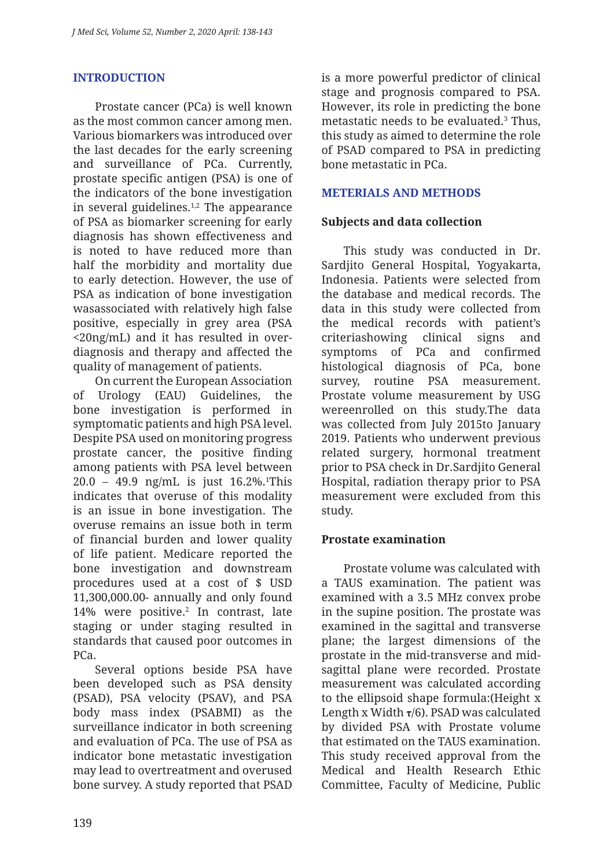# **INTRODUCTION**

Prostate cancer (PCa) is well known as the most common cancer among men. Various biomarkers was introduced over the last decades for the early screening and surveillance of PCa. Currently, prostate specific antigen (PSA) is one of the indicators of the bone investigation in several guidelines. $1,2$  The appearance of PSA as biomarker screening for early diagnosis has shown effectiveness and is noted to have reduced more than half the morbidity and mortality due to early detection. However, the use of PSA as indication of bone investigation wasassociated with relatively high false positive, especially in grey area (PSA <20ng/mL) and it has resulted in overdiagnosis and therapy and affected the quality of management of patients.

On current the European Association of Urology (EAU) Guidelines, the bone investigation is performed in symptomatic patients and high PSA level. Despite PSA used on monitoring progress prostate cancer, the positive finding among patients with PSA level between 20.0 – 49.9 ng/mL is just 16.2%.1 This indicates that overuse of this modality is an issue in bone investigation. The overuse remains an issue both in term of financial burden and lower quality of life patient. Medicare reported the bone investigation and downstream procedures used at a cost of \$ USD 11,300,000.00- annually and only found 14% were positive.2 In contrast, late staging or under staging resulted in standards that caused poor outcomes in PCa.

Several options beside PSA have been developed such as PSA density (PSAD), PSA velocity (PSAV), and PSA body mass index (PSABMI) as the surveillance indicator in both screening and evaluation of PCa. The use of PSA as indicator bone metastatic investigation may lead to overtreatment and overused bone survey. A study reported that PSAD is a more powerful predictor of clinical stage and prognosis compared to PSA. However, its role in predicting the bone metastatic needs to be evaluated.3 Thus, this study as aimed to determine the role of PSAD compared to PSA in predicting bone metastatic in PCa.

## **METERIALS AND METHODS**

### **Subjects and data collection**

This study was conducted in Dr. Sardjito General Hospital, Yogyakarta, Indonesia. Patients were selected from the database and medical records. The data in this study were collected from the medical records with patient's criteriashowing clinical signs and symptoms of PCa and confirmed histological diagnosis of PCa, bone survey, routine PSA measurement. Prostate volume measurement by USG wereenrolled on this study.The data was collected from July 2015to January 2019. Patients who underwent previous related surgery, hormonal treatment prior to PSA check in Dr.Sardjito General Hospital, radiation therapy prior to PSA measurement were excluded from this study.

### **Prostate examination**

Prostate volume was calculated with a TAUS examination. The patient was examined with a 3.5 MHz convex probe in the supine position. The prostate was examined in the sagittal and transverse plane; the largest dimensions of the prostate in the mid-transverse and midsagittal plane were recorded. Prostate measurement was calculated according to the ellipsoid shape formula:(Height x Length x Width **τ**/6). PSAD was calculated by divided PSA with Prostate volume that estimated on the TAUS examination. This study received approval from the Medical and Health Research Ethic Committee, Faculty of Medicine, Public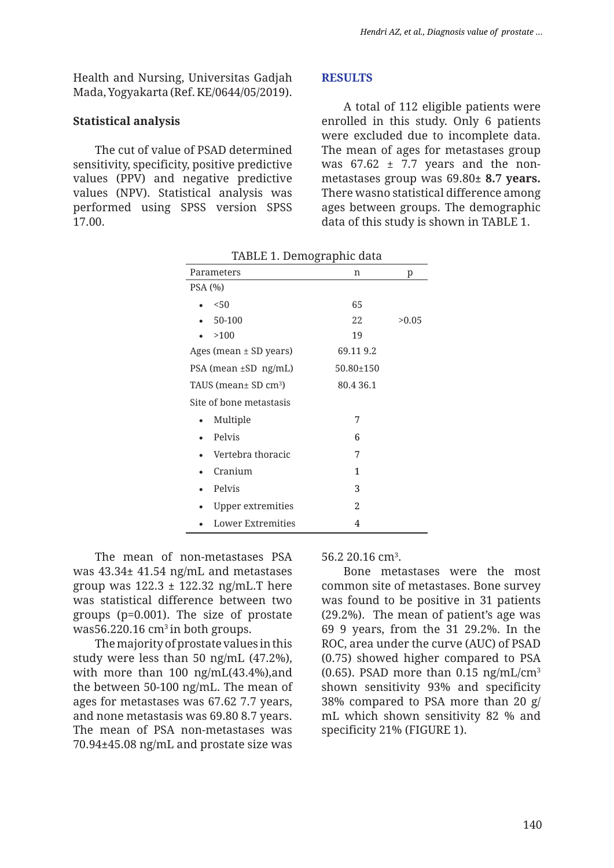Health and Nursing, Universitas Gadjah Mada, Yogyakarta (Ref. KE/0644/05/2019).

#### **Statistical analysis**

The cut of value of PSAD determined sensitivity, specificity, positive predictive values (PPV) and negative predictive values (NPV). Statistical analysis was performed using SPSS version SPSS 17.00.

#### **RESULTS**

A total of 112 eligible patients were enrolled in this study. Only 6 patients were excluded due to incomplete data. The mean of ages for metastases group was  $67.62 \pm 7.7$  years and the nonmetastases group was 69.80**± 8.7 years.**  There wasno statistical difference among ages between groups. The demographic data of this study is shown in TABLE 1.

| Parameters                            | n         | p     |
|---------------------------------------|-----------|-------|
| PSA(%)                                |           |       |
| 50<                                   | 65        |       |
| 50-100                                | 22        | >0.05 |
| >100                                  | 19        |       |
| Ages (mean $\pm$ SD years)            | 69.119.2  |       |
| PSA (mean ±SD ng/mL)                  | 50.80±150 |       |
| TAUS (mean $\pm$ SD cm <sup>3</sup> ) | 80.4 36.1 |       |
| Site of bone metastasis               |           |       |
| Multiple                              | 7         |       |
| Pelvis                                | 6         |       |
| Vertebra thoracic                     | 7         |       |
| Cranium                               | 1         |       |
| Pelvis                                | 3         |       |
| <b>Upper extremities</b>              | 2         |       |
| <b>Lower Extremities</b>              | 4         |       |

TABLE 1. Demographic data

The mean of non-metastases PSA was 43.34**±** 41.54 ng/mL and metastases group was 122.3 **±** 122.32 ng/mL.T here was statistical difference between two groups (p=0.001). The size of prostate was56.220.16  $cm<sup>3</sup>$  in both groups.

The majority of prostate values in this study were less than 50 ng/mL (47.2%), with more than 100 ng/mL(43.4%),and the between 50-100 ng/mL. The mean of ages for metastases was 67.62 7.7 years, and none metastasis was 69.80 8.7 years. The mean of PSA non-metastases was 70.94**±**45.08 ng/mL and prostate size was 56.2 20.16 cm<sup>3</sup>.

Bone metastases were the most common site of metastases. Bone survey was found to be positive in 31 patients (29.2%). The mean of patient's age was 69 9 years, from the 31 29.2%. In the ROC, area under the curve (AUC) of PSAD (0.75) showed higher compared to PSA (0.65). PSAD more than  $0.15$  ng/mL/cm<sup>3</sup> shown sensitivity 93% and specificity 38% compared to PSA more than 20 g/ mL which shown sensitivity 82 % and specificity 21% (FIGURE 1).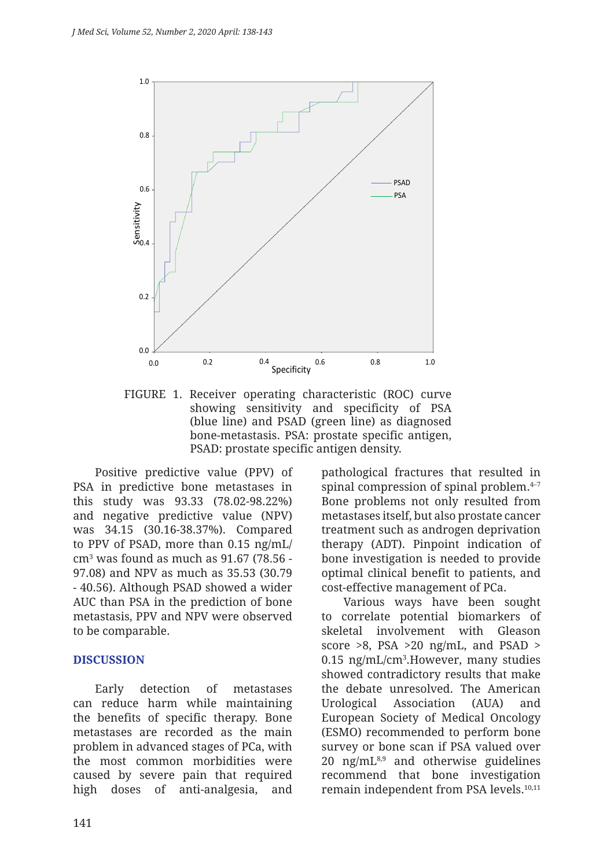

FIGURE 1. Receiver operating characteristic (ROC) curve showing sensitivity and specificity of PSA (blue line) and PSAD (green line) as diagnosed bone-metastasis. PSA: prostate specific antigen, PSAD: prostate specific antigen density.

Positive predictive value (PPV) of PSA in predictive bone metastases in this study was 93.33 (78.02-98.22%) and negative predictive value (NPV) was 34.15 (30.16-38.37%). Compared to PPV of PSAD, more than 0.15 ng/mL/ cm3 was found as much as 91.67 (78.56 - 97.08) and NPV as much as 35.53 (30.79 - 40.56). Although PSAD showed a wider AUC than PSA in the prediction of bone metastasis, PPV and NPV were observed to be comparable.

### **DISCUSSION**

Early detection of metastases can reduce harm while maintaining the benefits of specific therapy. Bone metastases are recorded as the main problem in advanced stages of PCa, with the most common morbidities were caused by severe pain that required high doses of anti-analgesia, and

pathological fractures that resulted in spinal compression of spinal problem. $4-7$ Bone problems not only resulted from metastases itself, but also prostate cancer treatment such as androgen deprivation therapy (ADT). Pinpoint indication of bone investigation is needed to provide optimal clinical benefit to patients, and cost-effective management of PCa.

Various ways have been sought to correlate potential biomarkers of skeletal involvement with Gleason score  $>8$ , PSA  $>20$  ng/mL, and PSAD  $>$ 0.15 ng/mL/cm3 .However, many studies showed contradictory results that make the debate unresolved. The American Urological Association (AUA) and European Society of Medical Oncology (ESMO) recommended to perform bone survey or bone scan if PSA valued over 20  $\text{ng/mL}^{8,9}$  and otherwise guidelines recommend that bone investigation remain independent from PSA levels.<sup>10,11</sup>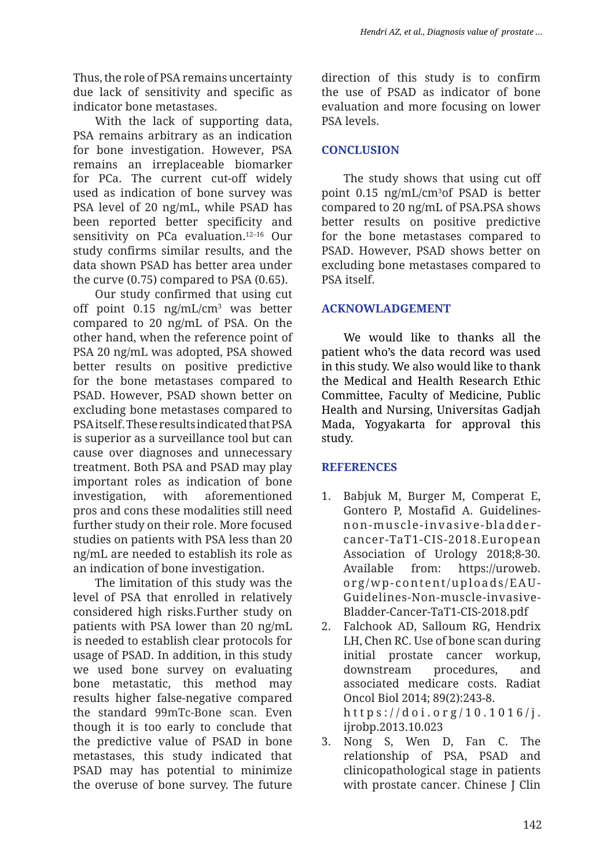Thus, the role of PSA remains uncertainty due lack of sensitivity and specific as indicator bone metastases.

With the lack of supporting data, PSA remains arbitrary as an indication for bone investigation. However, PSA remains an irreplaceable biomarker for PCa. The current cut-off widely used as indication of bone survey was PSA level of 20 ng/mL, while PSAD has been reported better specificity and sensitivity on PCa evaluation.12–16 Our study confirms similar results, and the data shown PSAD has better area under the curve (0.75) compared to PSA (0.65).

Our study confirmed that using cut off point 0.15 ng/mL/cm3 was better compared to 20 ng/mL of PSA. On the other hand, when the reference point of PSA 20 ng/mL was adopted, PSA showed better results on positive predictive for the bone metastases compared to PSAD. However, PSAD shown better on excluding bone metastases compared to PSA itself. These results indicated that PSA is superior as a surveillance tool but can cause over diagnoses and unnecessary treatment. Both PSA and PSAD may play important roles as indication of bone investigation, with aforementioned pros and cons these modalities still need further study on their role. More focused studies on patients with PSA less than 20 ng/mL are needed to establish its role as an indication of bone investigation.

The limitation of this study was the level of PSA that enrolled in relatively considered high risks.Further study on patients with PSA lower than 20 ng/mL is needed to establish clear protocols for usage of PSAD. In addition, in this study we used bone survey on evaluating bone metastatic, this method may results higher false-negative compared the standard 99mTc-Bone scan. Even though it is too early to conclude that the predictive value of PSAD in bone metastases, this study indicated that PSAD may has potential to minimize the overuse of bone survey. The future

direction of this study is to confirm the use of PSAD as indicator of bone evaluation and more focusing on lower PSA levels.

## **CONCLUSION**

The study shows that using cut off point 0.15 ng/mL/cm3 of PSAD is better compared to 20 ng/mL of PSA.PSA shows better results on positive predictive for the bone metastases compared to PSAD. However, PSAD shows better on excluding bone metastases compared to PSA itself.

### **ACKNOWLADGEMENT**

We would like to thanks all the patient who's the data record was used in this study. We also would like to thank the Medical and Health Research Ethic Committee, Faculty of Medicine, Public Health and Nursing, Universitas Gadjah Mada, Yogyakarta for approval this study.

### **REFERENCES**

- 1. Babjuk M, Burger M, Comperat E, Gontero P, Mostafid A. Guidelinesnon-muscle-invasive-bladdercancer-TaT1-CIS-2018.European Association of Urology 2018;8-30. Available from: https://uroweb. org/wp-content/uploads/EAU-Guidelines-Non-muscle-invasive-Bladder-Cancer-TaT1-CIS-2018.pdf
- 2. Falchook AD, Salloum RG, Hendrix LH, Chen RC. Use of bone scan during initial prostate cancer workup, downstream procedures, and associated medicare costs. Radiat Oncol Biol 2014; 89(2):243-8. https://doi.org/10.1016/j. ijrobp.2013.10.023
- 3. Nong S, Wen D, Fan C. The relationship of PSA, PSAD and clinicopathological stage in patients with prostate cancer. Chinese J Clin